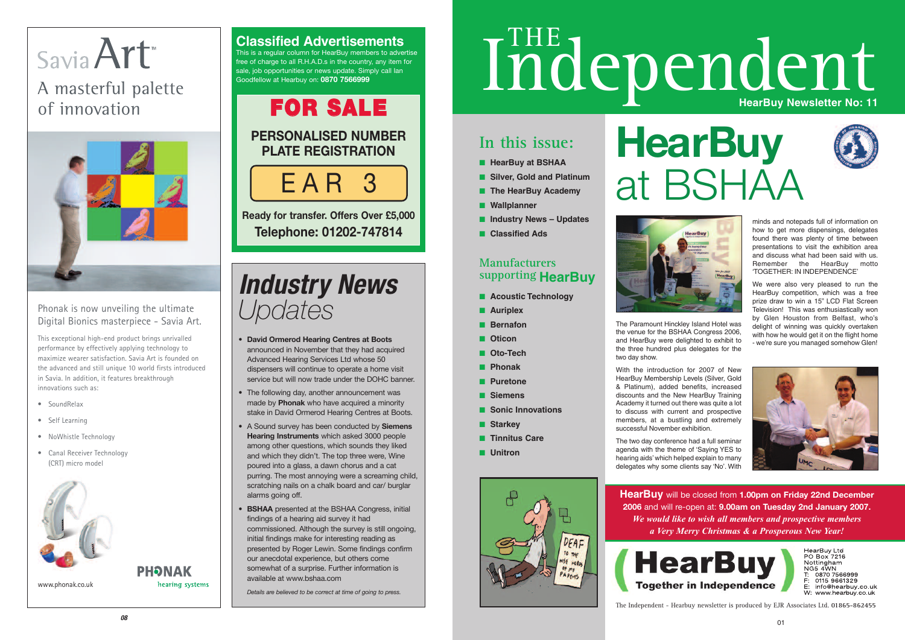hearing systems

### **In this issue:**

- **■ HearBuy at BSHAA**
- **Silver, Gold and Platinum**
- **■ The HearBuy Academy**
- **■ Wallplanner**
- **■ Industry News Updates**
- **■ Classified Ads**

#### **Manufacturers supporting HearBuy**

- **■ Acoustic Technology**
- **■ Auriplex**
- **■ Bernafon**
- **■ Oticon**
- **■ Oto-Tech**
- **■ Phonak**
- **■ Puretone**
- **■ Siemens**
- **■ Sonic Innovations**
- **■ Starkey**
- **■ Tinnitus Care**
- **■ Unitron**







The Paramount Hinckley Island Hotel was the venue for the BSHAA Congress 2006, and HearBuy were delighted to exhibit to the three hundred plus delegates for the two day show.

With the introduction for 2007 of New HearBuy Membership Levels (Silver, Gold & Platinum), added benefits, increased discounts and the New HearBuy Training Academy it turned out there was quite a lot to discuss with current and prospective members, at a bustling and extremely successful November exhibition.

# Savia Art A masterful palette of innovation



The two day conference had a full seminar agenda with the theme of 'Saying YES to hearing aids'which helped explain to many delegates why some clients say 'No'. With

minds and notepads full of information on how to get more dispensings, delegates found there was plenty of time between presentations to visit the exhibition area and discuss what had been said with us. Remember the HearBuy motto 'TOGETHER: IN INDEPENDENCE'

We were also very pleased to run the HearBuy competition, which was a free prize draw to win a 15" LCD Flat Screen Television! This was enthusiastically won by Glen Houston from Belfast, who's delight of winning was quickly overtaken with how he would get it on the flight home - we're sure you managed somehow Glen!



HearBuy Ltd PO Box 7216 Nottingham  $NG5$   $4$  $W$ N 0870 7566999 0115 9661329 info@hearbuy.co.uk W: www.hearbuy.co.uk

The Independent - Hearbuy newsletter is produced by EJR Associates Ltd. **01865-862455**

a Very Merry Christmas & a Prosperous New Year! **HearBuy** will be closed from **1.00pm on Friday 22nd December 2006** and will re-open at: **9.00am on Tuesday 2nd January 2007.**  *We would like to wish all members and prospective members* 



www.phonak.co.uk

## **PHONAK**



- **David Ormerod Hearing Centres at Boots** announced in November that they had acquired Advanced Hearing Services Ltd whose 50 dispensers will continue to operate a home visit service but will now trade under the DOHC banner.
- The following day, another announcement was made by **Phonak** who have acquired a minority stake in David Ormerod Hearing Centres at Boots.
- A Sound survey has been conducted by **Siemens Hearing Instruments** which asked 3000 people among other questions, which sounds they liked and which they didn't. The top three were, Wine poured into a glass, a dawn chorus and a cat purring. The most annoying were a screaming child, scratching nails on a chalk board and car/ burglar alarms going off.
- **BSHAA** presented at the BSHAA Congress, initial findings of a hearing aid survey it had commissioned. Although the survey is still ongoing, initial findings make for interesting reading as presented by Roger Lewin. Some findings confirm our anecdotal experience, but others come somewhat of a surprise. Further information is available at www.bshaa.com

*Details are believed to be correct at time of going to press.* 

# Independent

#### **Classified Advertisements**

This is a regular column for HearBuy members to advertise free of charge to all R.H.A.D.s in the country, any item for sale, job opportunities or news update. Simply call lan Goodfellow at Hearbuy on: **0870 7566999**

# **FOR SALE**

#### **PERSONALISED NUMBER PLATE REGISTRATION**

**Ready for transfer. Offers Over £5,000 Telephone: 01202-747814**

EAR 3

#### Phonak is now unveiling the ultimate Digital Bionics masterpiece - Savia Art.

This exceptional high-end product brings unrivalled performance by effectively applying technology to maximize wearer satisfaction. Savia Art is founded on the advanced and still unique 10 world firsts introduced in Savia. In addition, it features breakthrough innovations such as:

- SoundRelax
- Self Learning
- NoWhistle Technology
- Canal Receiver Technology (CRT) micro model



# **HearBuy** at BSHAA